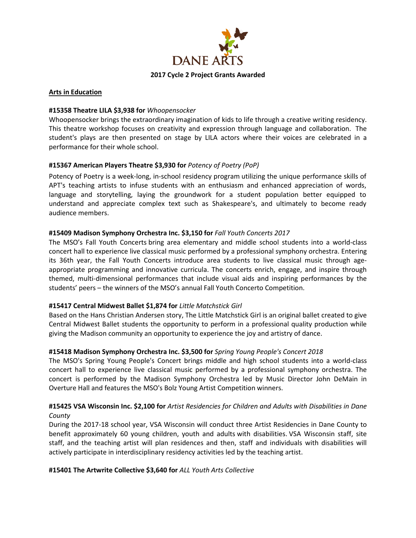

#### **Arts in Education**

### **#15358 Theatre LILA \$3,938 for** *Whoopensocker*

Whoopensocker brings the extraordinary imagination of kids to life through a creative writing residency. This theatre workshop focuses on creativity and expression through language and collaboration. The student's plays are then presented on stage by LILA actors where their voices are celebrated in a performance for their whole school.

### **#15367 American Players Theatre \$3,930 for** *Potency of Poetry (PoP)*

Potency of Poetry is a week-long, in-school residency program utilizing the unique performance skills of APT's teaching artists to infuse students with an enthusiasm and enhanced appreciation of words, language and storytelling, laying the groundwork for a student population better equipped to understand and appreciate complex text such as Shakespeare's, and ultimately to become ready audience members.

### **#15409 Madison Symphony Orchestra Inc. \$3,150 for** *Fall Youth Concerts 2017*

The MSO's Fall Youth Concerts bring area elementary and middle school students into a world-class concert hall to experience live classical music performed by a professional symphony orchestra. Entering its 36th year, the Fall Youth Concerts introduce area students to live classical music through ageappropriate programming and innovative curricula. The concerts enrich, engage, and inspire through themed, multi-dimensional performances that include visual aids and inspiring performances by the students' peers – the winners of the MSO's annual Fall Youth Concerto Competition.

### **#15417 Central Midwest Ballet \$1,874 for** *Little Matchstick Girl*

Based on the Hans Christian Andersen story, The Little Matchstick Girl is an original ballet created to give Central Midwest Ballet students the opportunity to perform in a professional quality production while giving the Madison community an opportunity to experience the joy and artistry of dance.

## **#15418 Madison Symphony Orchestra Inc. \$3,500 for** *Spring Young People's Concert 2018*

The MSO's Spring Young People's Concert brings middle and high school students into a world-class concert hall to experience live classical music performed by a professional symphony orchestra. The concert is performed by the Madison Symphony Orchestra led by Music Director John DeMain in Overture Hall and features the MSO's Bolz Young Artist Competition winners.

## **#15425 VSA Wisconsin Inc. \$2,100 for** *Artist Residencies for Children and Adults with Disabilities in Dane County*

During the 2017-18 school year, VSA Wisconsin will conduct three Artist Residencies in Dane County to benefit approximately 60 young children, youth and adults with disabilities. VSA Wisconsin staff, site staff, and the teaching artist will plan residences and then, staff and individuals with disabilities will actively participate in interdisciplinary residency activities led by the teaching artist.

### **#15401 The Artwrite Collective \$3,640 for** *ALL Youth Arts Collective*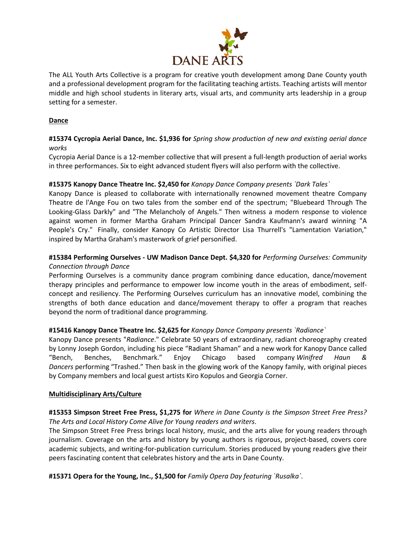

The ALL Youth Arts Collective is a program for creative youth development among Dane County youth and a professional development program for the facilitating teaching artists. Teaching artists will mentor middle and high school students in literary arts, visual arts, and community arts leadership in a group setting for a semester.

### **Dance**

## **#15374 Cycropia Aerial Dance, Inc. \$1,936 for** *Spring show production of new and existing aerial dance works*

Cycropia Aerial Dance is a 12-member collective that will present a full-length production of aerial works in three performances. Six to eight advanced student flyers will also perform with the collective.

### **#15375 Kanopy Dance Theatre Inc. \$2,450 for** *Kanopy Dance Company presents `Dark Tales`*

Kanopy Dance is pleased to collaborate with internationally renowned movement theatre Company Theatre de l'Ange Fou on two tales from the somber end of the spectrum; "Bluebeard Through The Looking-Glass Darkly" and "The Melancholy of Angels." Then witness a modern response to violence against women in former Martha Graham Principal Dancer Sandra Kaufmann's award winning "A People's Cry." Finally, consider Kanopy Co Artistic Director Lisa Thurrell's "Lamentation Variation," inspired by Martha Graham's masterwork of grief personified.

# **#15384 Performing Ourselves - UW Madison Dance Dept. \$4,320 for** *Performing Ourselves: Community Connection through Dance*

Performing Ourselves is a community dance program combining dance education, dance/movement therapy principles and performance to empower low income youth in the areas of embodiment, selfconcept and resiliency. The Performing Ourselves curriculum has an innovative model, combining the strengths of both dance education and dance/movement therapy to offer a program that reaches beyond the norm of traditional dance programming.

## **#15416 Kanopy Dance Theatre Inc. \$2,625 for** *Kanopy Dance Company presents `Radiance`*

Kanopy Dance presents "*Radiance*." Celebrate 50 years of extraordinary, radiant choreography created by Lonny Joseph Gordon, including his piece "Radiant Shaman" and a new work for Kanopy Dance called "Bench, Benches, Benchmark." Enjoy Chicago based company *Winifred Haun & Dancers* performing "Trashed." Then bask in the glowing work of the Kanopy family, with original pieces by Company members and local guest artists Kiro Kopulos and Georgia Corner.

### **Multidisciplinary Arts/Culture**

## **#15353 Simpson Street Free Press, \$1,275 for** *Where in Dane County is the Simpson Street Free Press? The Arts and Local History Come Alive for Young readers and writers*.

The Simpson Street Free Press brings local history, music, and the arts alive for young readers through journalism. Coverage on the arts and history by young authors is rigorous, project-based, covers core academic subjects, and writing-for-publication curriculum. Stories produced by young readers give their peers fascinating content that celebrates history and the arts in Dane County.

**#15371 Opera for the Young, Inc., \$1,500 for** *Family Opera Day featuring `Rusalka`*.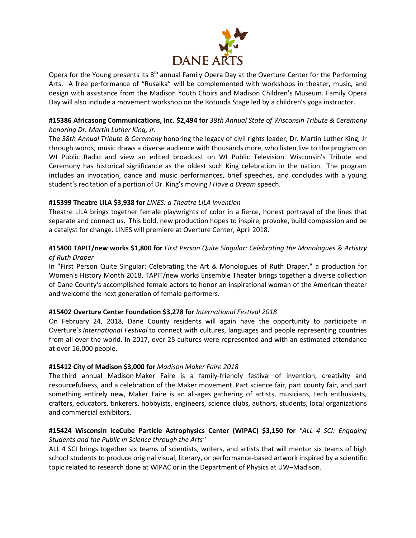

Opera for the Young presents its  $8<sup>th</sup>$  annual Family Opera Day at the Overture Center for the Performing Arts. A free performance of "Rusalka" will be complemented with workshops in theater, music, and design with assistance from the Madison Youth Choirs and Madison Children's Museum. Family Opera Day will also include a movement workshop on the Rotunda Stage led by a children's yoga instructor.

### **#15386 Africasong Communications, Inc. \$2,494 for** *38th Annual State of Wisconsin Tribute & Ceremony honoring Dr. Martin Luther King, Jr.*

The *38th Annual Tribute & Ceremony* honoring the legacy of civil rights leader, Dr. Martin Luther King, Jr through words, music draws a diverse audience with thousands more, who listen live to the program on WI Public Radio and view an edited broadcast on WI Public Television. Wisconsin's Tribute and Ceremony has historical significance as the oldest such King celebration in the nation. The program includes an invocation, dance and music performances, brief speeches, and concludes with a young student's recitation of a portion of Dr. King's moving *I Have a Dream* speech.

## **#15399 Theatre LILA \$3,938 for** *LINES: a Theatre LILA invention*

Theatre LILA brings together female playwrights of color in a fierce, honest portrayal of the lines that separate and connect us. This bold, new production hopes to inspire, provoke, build compassion and be a catalyst for change. LINES will premiere at Overture Center, April 2018.

## **#15400 TAPIT/new works \$1,800 for** *First Person Quite Singular: Celebrating the Monologues & Artistry of Ruth Draper*

In "First Person Quite Singular: Celebrating the Art & Monologues of Ruth Draper," a production for Women's History Month 2018, TAPIT/new works Ensemble Theater brings together a diverse collection of Dane County's accomplished female actors to honor an inspirational woman of the American theater and welcome the next generation of female performers.

### **#15402 Overture Center Foundation \$3,278 for** *International Festival 2018*

On February 24, 2018, Dane County residents will again have the opportunity to participate in Overture's *International Festival* to connect with cultures, languages and people representing countries from all over the world. In 2017, over 25 cultures were represented and with an estimated attendance at over 16,000 people.

### **#15412 City of Madison \$3,000 for** *Madison Maker Faire 2018*

The third annual Madison Maker Faire is a family-friendly festival of invention, creativity and resourcefulness, and a celebration of the Maker movement. Part science fair, part county fair, and part something entirely new, Maker Faire is an all-ages gathering of artists, musicians, tech enthusiasts, crafters, educators, tinkerers, hobbyists, engineers, science clubs, authors, students, local organizations and commercial exhibitors.

### **#15424 Wisconsin IceCube Particle Astrophysics Center (WIPAC) \$3,150 for** *"ALL 4 SCI: Engaging Students and the Public in Science through the Arts"*

ALL 4 SCI brings together six teams of scientists, writers, and artists that will mentor six teams of high school students to produce original visual, literary, or performance-based artwork inspired by a scientific topic related to research done at WIPAC or in the Department of Physics at UW–Madison.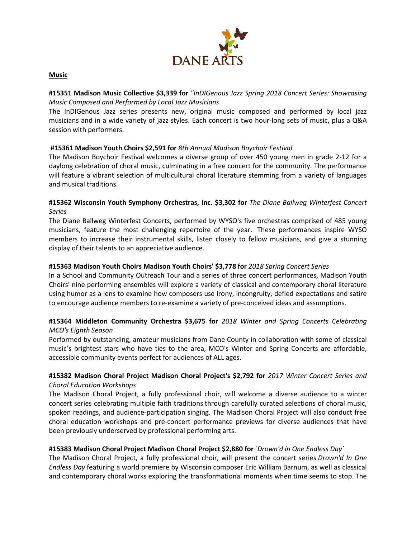

#### **Music**

## **#15351 Madison Music Collective \$3,339 for** *"InDIGenous Jazz Spring 2018 Concert Series: Showcasing Music Composed and Performed by Local Jazz Musicians*

The InDIGenous Jazz series presents new, original music composed and performed by local jazz musicians and in a wide variety of jazz styles. Each concert is two hour-long sets of music, plus a Q&A session with performers.

## **#15361 Madison Youth Choirs \$2,591 for** *8th Annual Madison Boychoir Festival*

The Madison Boychoir Festival welcomes a diverse group of over 450 young men in grade 2-12 for a daylong celebration of choral music, culminating in a free concert for the community. The performance will feature a vibrant selection of multicultural choral literature stemming from a variety of languages and musical traditions.

## **#15362 Wisconsin Youth Symphony Orchestras, Inc. \$3,302 for** *The Diane Ballweg Winterfest Concert Series*

The Diane Ballweg Winterfest Concerts, performed by WYSO's five orchestras comprised of 485 young musicians, feature the most challenging repertoire of the year. These performances inspire WYSO members to increase their instrumental skills, listen closely to fellow musicians, and give a stunning display of their talents to an appreciative audience.

### **#15363 Madison Youth Choirs Madison Youth Choirs' \$3,778 for** *2018 Spring Concert Series*

In a School and Community Outreach Tour and a series of three concert performances, Madison Youth Choirs' nine performing ensembles will explore a variety of classical and contemporary choral literature using humor as a lens to examine how composers use irony, incongruity, defied expectations and satire to encourage audience members to re-examine a variety of pre-conceived ideas and assumptions.

## **#15364 Middleton Community Orchestra \$3,675 for** *2018 Winter and Spring Concerts Celebrating MCO's Eighth Season*

Performed by outstanding, amateur musicians from Dane County in collaboration with some of classical music's brightest stars who have ties to the area, MCO's Winter and Spring Concerts are affordable, accessible community events perfect for audiences of ALL ages.

## **#15382 Madison Choral Project Madison Choral Project's \$2,792 for** *2017 Winter Concert Series and Choral Education Workshops*

The Madison Choral Project, a fully professional choir, will welcome a diverse audience to a winter concert series celebrating multiple faith traditions through carefully curated selections of choral music, spoken readings, and audience-participation singing. The Madison Choral Project will also conduct free choral education workshops and pre-concert performance previews for diverse audiences that have been previously underserved by professional performing arts.

### **#15383 Madison Choral Project Madison Choral Project \$2,880 for** *`Drown'd in One Endless Day`*

The Madison Choral Project, a fully professional choir, will present the concert series *Drown'd In One Endless Day* featuring a world premiere by Wisconsin composer Eric William Barnum, as well as classical and contemporary choral works exploring the transformational moments when time seems to stop. The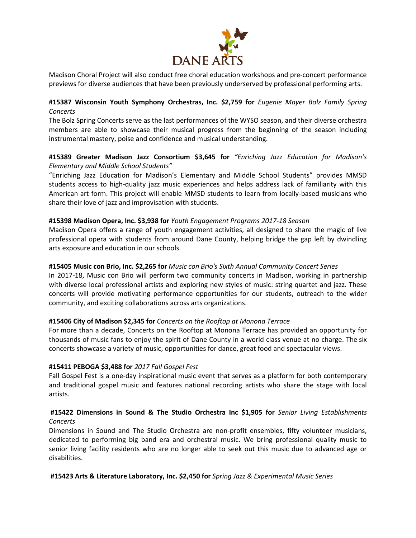

Madison Choral Project will also conduct free choral education workshops and pre-concert performance previews for diverse audiences that have been previously underserved by professional performing arts.

## **#15387 Wisconsin Youth Symphony Orchestras, Inc. \$2,759 for** *Eugenie Mayer Bolz Family Spring Concerts*

The Bolz Spring Concerts serve as the last performances of the WYSO season, and their diverse orchestra members are able to showcase their musical progress from the beginning of the season including instrumental mastery, poise and confidence and musical understanding.

## **#15389 Greater Madison Jazz Consortium \$3,645 for** *"Enriching Jazz Education for Madison's Elementary and Middle School Students"*

"Enriching Jazz Education for Madison's Elementary and Middle School Students" provides MMSD students access to high-quality jazz music experiences and helps address lack of familiarity with this American art form. This project will enable MMSD students to learn from locally-based musicians who share their love of jazz and improvisation with students.

### **#15398 Madison Opera, Inc. \$3,938 for** *Youth Engagement Programs 2017-18 Season*

Madison Opera offers a range of youth engagement activities, all designed to share the magic of live professional opera with students from around Dane County, helping bridge the gap left by dwindling arts exposure and education in our schools.

### **#15405 Music con Brio, Inc. \$2,265 for** *Music con Brio's Sixth Annual Community Concert Series*

In 2017-18, Music con Brio will perform two community concerts in Madison, working in partnership with diverse local professional artists and exploring new styles of music: string quartet and jazz. These concerts will provide motivating performance opportunities for our students, outreach to the wider community, and exciting collaborations across arts organizations.

### **#15406 City of Madison \$2,345 for** *Concerts on the Rooftop at Monona Terrace*

For more than a decade, Concerts on the Rooftop at Monona Terrace has provided an opportunity for thousands of music fans to enjoy the spirit of Dane County in a world class venue at no charge. The six concerts showcase a variety of music, opportunities for dance, great food and spectacular views.

### **#15411 PEBOGA \$3,488 for** *2017 Fall Gospel Fest*

Fall Gospel Fest is a one-day inspirational music event that serves as a platform for both contemporary and traditional gospel music and features national recording artists who share the stage with local artists.

### **#15422 Dimensions in Sound & The Studio Orchestra Inc \$1,905 for** *Senior Living Establishments Concerts*

Dimensions in Sound and The Studio Orchestra are non-profit ensembles, fifty volunteer musicians, dedicated to performing big band era and orchestral music. We bring professional quality music to senior living facility residents who are no longer able to seek out this music due to advanced age or disabilities.

### **#15423 Arts & Literature Laboratory, Inc. \$2,450 for** *Spring Jazz & Experimental Music Series*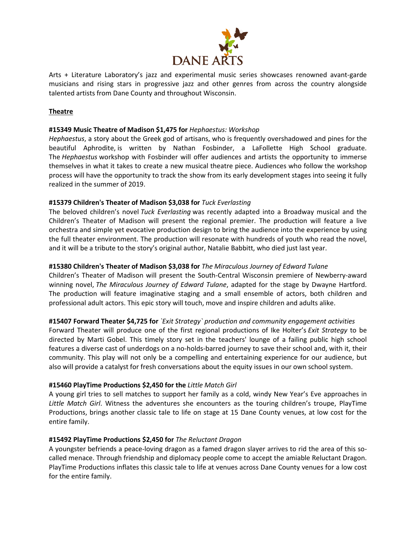

Arts + Literature Laboratory's jazz and experimental music series showcases renowned avant-garde musicians and rising stars in progressive jazz and other genres from across the country alongside talented artists from Dane County and throughout Wisconsin.

## **Theatre**

### **#15349 Music Theatre of Madison \$1,475 for** *Hephaestus: Workshop*

*Hephaestus*, a story about the Greek god of artisans, who is frequently overshadowed and pines for the beautiful Aphrodite, is written by Nathan Fosbinder, a LaFollette High School graduate. The *Hephaestus* workshop with Fosbinder will offer audiences and artists the opportunity to immerse themselves in what it takes to create a new musical theatre piece. Audiences who follow the workshop process will have the opportunity to track the show from its early development stages into seeing it fully realized in the summer of 2019.

### **#15379 Children's Theater of Madison \$3,038 for** *Tuck Everlasting*

The beloved children's novel *Tuck Everlasting* was recently adapted into a Broadway musical and the Children's Theater of Madison will present the regional premier. The production will feature a live orchestra and simple yet evocative production design to bring the audience into the experience by using the full theater environment. The production will resonate with hundreds of youth who read the novel, and it will be a tribute to the story's original author, Natalie Babbitt, who died just last year.

### **#15380 Children's Theater of Madison \$3,038 for** *The Miraculous Journey of Edward Tulane*

Children's Theater of Madison will present the South-Central Wisconsin premiere of Newberry-award winning novel, *The Miraculous Journey of Edward Tulane*, adapted for the stage by Dwayne Hartford. The production will feature imaginative staging and a small ensemble of actors, both children and professional adult actors. This epic story will touch, move and inspire children and adults alike.

## **#15407 Forward Theater \$4,725 for** *`Exit Strategy` production and community engagement activities*

Forward Theater will produce one of the first regional productions of Ike Holter's *Exit Strategy* to be directed by Marti Gobel. This timely story set in the teachers' lounge of a failing public high school features a diverse cast of underdogs on a no-holds-barred journey to save their school and, with it, their community. This play will not only be a compelling and entertaining experience for our audience, but also will provide a catalyst for fresh conversations about the equity issues in our own school system.

### **#15460 PlayTime Productions \$2,450 for the** *Little Match Girl*

A young girl tries to sell matches to support her family as a cold, windy New Year's Eve approaches in *Little Match Girl*. Witness the adventures she encounters as the touring children's troupe, PlayTime Productions, brings another classic tale to life on stage at 15 Dane County venues, at low cost for the entire family.

### **#15492 PlayTime Productions \$2,450 for** *The Reluctant Dragon*

A youngster befriends a peace-loving dragon as a famed dragon slayer arrives to rid the area of this socalled menace. Through friendship and diplomacy people come to accept the amiable Reluctant Dragon. PlayTime Productions inflates this classic tale to life at venues across Dane County venues for a low cost for the entire family.